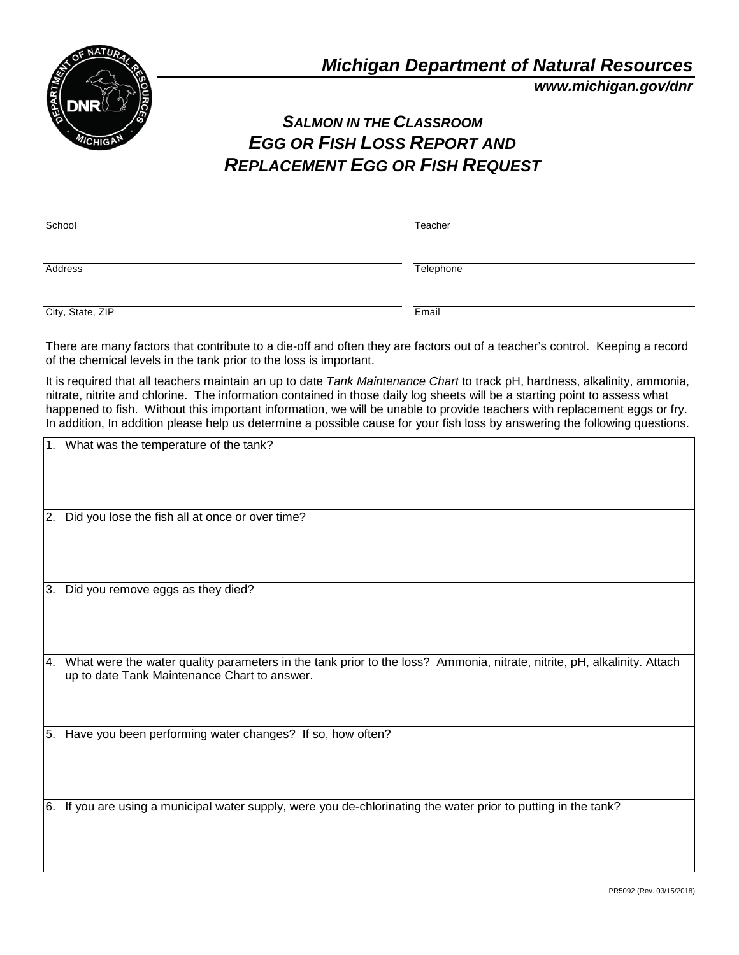

*www.michigan.gov/dnr*

## *SALMON IN THE CLASSROOM EGG OR FISH LOSS REPORT AND REPLACEMENT EGG OR FISH REQUEST*

| School                                                                                                                      | Teacher   |
|-----------------------------------------------------------------------------------------------------------------------------|-----------|
| Address                                                                                                                     | Telephone |
| City, State, ZIP                                                                                                            | Email     |
| There are many factors that contribute to a die-off and often they are factors out of a teacher's control. Keeping a record |           |

of the chemical levels in the tank prior to the loss is important. It is required that all teachers maintain an up to date *Tank Maintenance Chart* to track pH, hardness, alkalinity, ammonia,

nitrate, nitrite and chlorine. The information contained in those daily log sheets will be a starting point to assess what happened to fish. Without this important information, we will be unable to provide teachers with replacement eggs or fry. In addition, In addition please help us determine a possible cause for your fish loss by answering the following questions.

|     | 1. What was the temperature of the tank?                                                                                                                                |
|-----|-------------------------------------------------------------------------------------------------------------------------------------------------------------------------|
| 2.  | Did you lose the fish all at once or over time?                                                                                                                         |
| 3.  | Did you remove eggs as they died?                                                                                                                                       |
| I4. | What were the water quality parameters in the tank prior to the loss? Ammonia, nitrate, nitrite, pH, alkalinity. Attach<br>up to date Tank Maintenance Chart to answer. |
|     | 5. Have you been performing water changes? If so, how often?                                                                                                            |
|     | 6. If you are using a municipal water supply, were you de-chlorinating the water prior to putting in the tank?                                                          |